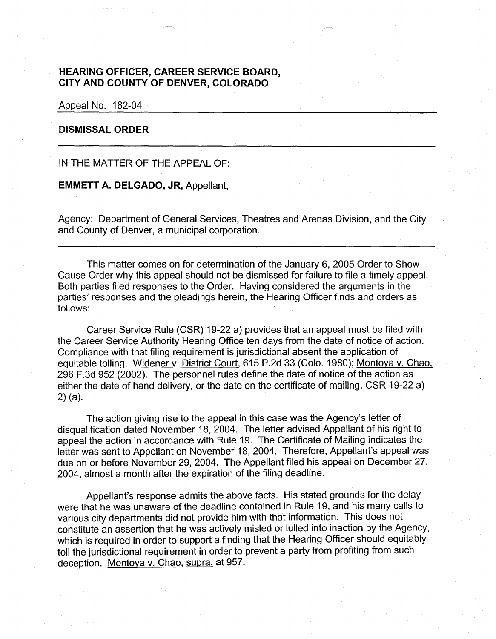## **HEARING OFFICER, CAREER SERVICE BOARD, CITY AND COUNTY OF DENVER, COLORADO**

Appeal No. 182-04

## **DISMISSAL ORDER**

IN THE MATTER OF THE APPEAL OF:

## **EMMETT A. DELGADO, JR,** Appellant,

Agency: Department of General Services, Theatres and Arenas Division, and the City and County of Denver, a municipal corporation.

This matter comes on for determination of the January 6, 2005 Order to Show Cause Order why this appeal should not be dismissed for failure to file a timely appeal. Both parties filed responses to the Order. Having considered the arguments in the parties' responses and the pleadings herein, the Hearing Officer finds and orders as follows:

Career Service Rule (CSR) 19-22 a) provides that an appeal must be filed with the Career Service Authority Hearing Office ten days from the date of notice of action. Compliance with that filing requirement is jurisdictional absent the application of equitable tolling. Widener v. District Court, 615 P.2d 33 (Colo. 1980); Montoya v. Chao, 296 F.3d 952 (2002). The personnel rules define the date of notice of the action as either the date of hand delivery, or the date on the certificate of mailing. CSR 19-22 a) 2) (a).

The action giving rise to the appeal in this case was the Agency's letter of disqualification dated November 18, 2004. The letter advised Appellant of his right to appeal the action in accordance with Rule 19. The Certificate of Mailing indicates the letter was sent to Appellant on November 18, 2004. Therefore, Appellant's appeal was due on or before November 29, 2004. The Appellant filed his appeal on December 27, 2004, almost a month after the expiration of the filing deadline.

Appellant's response admits the above facts. His stated grounds for the delay were that he was unaware of the deadline contained in Rule 19, and his many calls to various city departments did not provide him with that information. This does not constitute an assertion that he was actively misled or lulled into inaction by the Agency, which is required in order to support a finding that the Hearing Officer should equitably toll the jurisdictional requirement in order to prevent a party from profiting from such deception. Montoya v. Chao, supra, at 957.